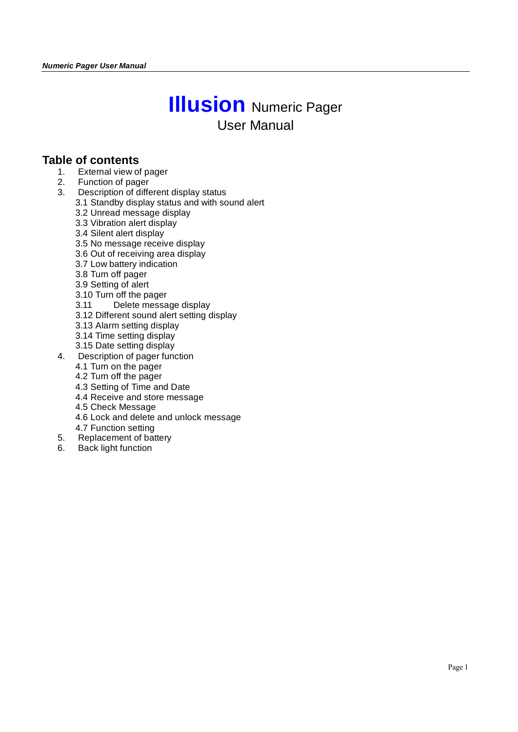# **Illusion** Numeric Pager User Manual

### **Table of contents**

- 1. External view of pager
- 2. Function of pager
- 3. Description of different display status
	- 3.1 Standby display status and with sound alert
	- 3.2 Unread message display
	- 3.3 Vibration alert display
	- 3.4 Silent alert display
	- 3.5 No message receive display
	- 3.6 Out of receiving area display
	- 3.7 Low battery indication
	- 3.8 Turn off pager
	- 3.9 Setting of alert
	- 3.10 Turn off the pager
	- 3.11 Delete message display
	- 3.12 Different sound alert setting display
	- 3.13 Alarm setting display
	- 3.14 Time setting display
	- 3.15 Date setting display
- 4. Description of pager function
	- 4.1 Turn on the pager
	- 4.2 Turn off the pager
	- 4.3 Setting of Time and Date
	- 4.4 Receive and store message
	- 4.5 Check Message
	- 4.6 Lock and delete and unlock message
	- 4.7 Function setting
- 5. Replacement of battery
- 6. Back light function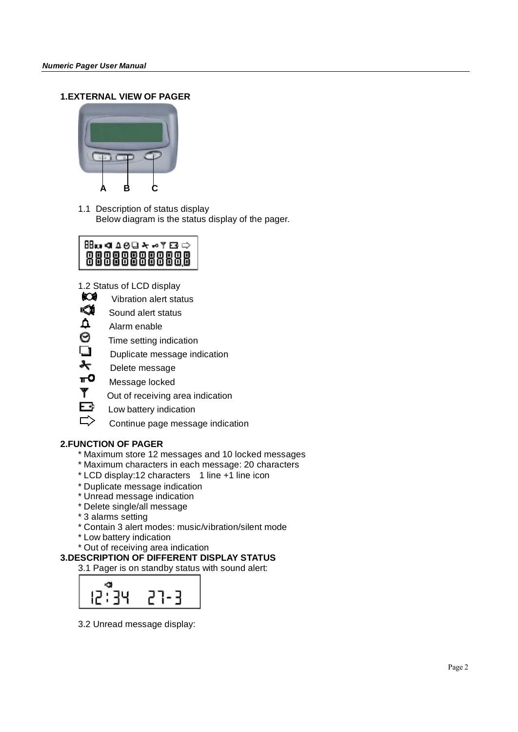#### **1.EXTERNAL VIEW OF PAGER**



1.1 Description of status display Below diagram is the status display of the pager.

## **BB∞⊄∆⊝**Q Ϟ⊷Υ⊡ ⇔ 88888888888

1.2 Status of LCD display

- ЮÓ Vibration alert status
- Sound alert status
- $\Delta$ Alarm enable
- 0 Time setting indication
- $\tilde{\mathbf{u}}$ Duplicate message indication
- ᡮ Delete message
- πО Message locked
- ۳ Out of receiving area indication
- F+ Low battery indication
	- Continue page message indication

#### **2.FUNCTION OF PAGER**

- \* Maximum store 12 messages and 10 locked messages
- \* Maximum characters in each message: 20 characters
- \* LCD display:12 characters 1 line +1 line icon
- \* Duplicate message indication
- \* Unread message indication
- \* Delete single/all message
- \* 3 alarms setting
- \* Contain 3 alert modes: music/vibration/silent mode
- \* Low battery indication
- \* Out of receiving area indication

#### **3.DESCRIPTION OF DIFFERENT DISPLAY STATUS**

3.1 Pager is on standby status with sound alert:



3.2 Unread message display: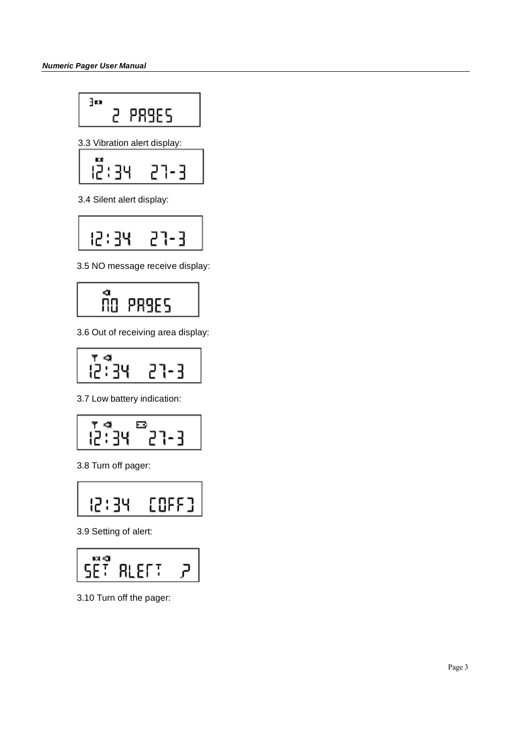$$
\begin{array}{c}\n\text{30} \\
\text{2} \\
\text{PRSES}\n\end{array}
$$

3.3 Vibration alert display:

$$
\begin{array}{c}\n\stackrel{13}{\left(2\right)}34 & 27-3 \\
\hline\n\end{array}
$$

3.4 Silent alert display:

$$
\boxed{12:34 \quad 27-3}
$$

3.5 NO message receive display:



3.6 Out of receiving area display:

$$
\begin{array}{|c|c|c|}\n\hline\n\text{R}^4 & \text{R}^3 & \text{R}^2 \\
\hline\n\text{R}^2 & \text{R}^3 & \text{R}^3 & \text{R}^4\n\end{array}
$$

3.7 Low battery indication:

$$
\frac{1}{12}
$$

3.8 Turn off pager:



3.9 Setting of alert:

$$
\boxed{\text{SET RLET: } P}
$$

3.10 Turn off the pager: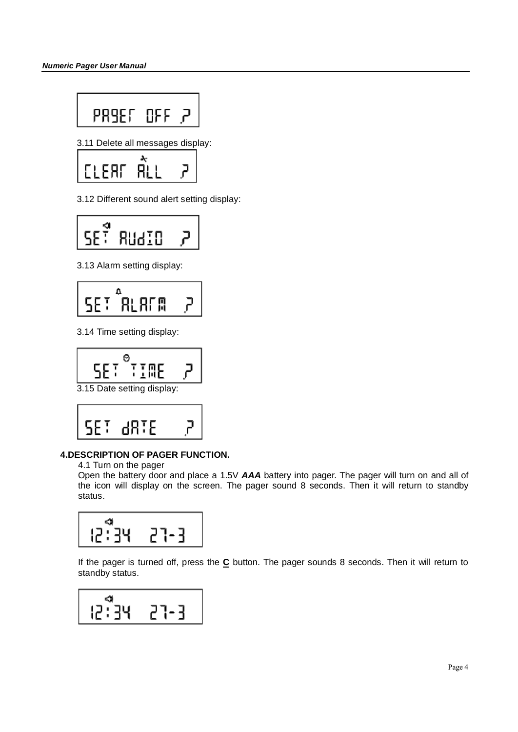3.11 Delete all messages display:

$$
\begin{bmatrix}\text{LEFT} & \text{ALL} & \text{?} \end{bmatrix}
$$

3.12 Different sound alert setting display:

$$
\boxed{\text{SE}^{\frac{\alpha}{2}} \text{RUdID} \quad \text{P}}
$$

3.13 Alarm setting display:



3.14 Time setting display:

$$
\boxed{\text{SE}^{\circ} \text{THE} \quad \text{P}}
$$

3.15 Date setting display:

$$
\begin{vmatrix}\nSE^T & dB^T E & P\n\end{vmatrix}
$$

#### **4.DESCRIPTION OF PAGER FUNCTION.**

4.1 Turn on the pager

Open the battery door and place a 1.5V *AAA* battery into pager. The pager will turn on and all of the icon will display on the screen. The pager sound 8 seconds. Then it will return to standby status.

$$
\begin{array}{c}\n\bullet \\
12:34 \\
\bullet \\
\bullet\n\end{array}
$$

If the pager is turned off, press the **C** button. The pager sounds 8 seconds. Then it will return to standby status.

$$
\begin{array}{|c|c|}\n\hline\n\text{a} & \text{c1-3} \\
\hline\n12:34 & 27-3\n\end{array}
$$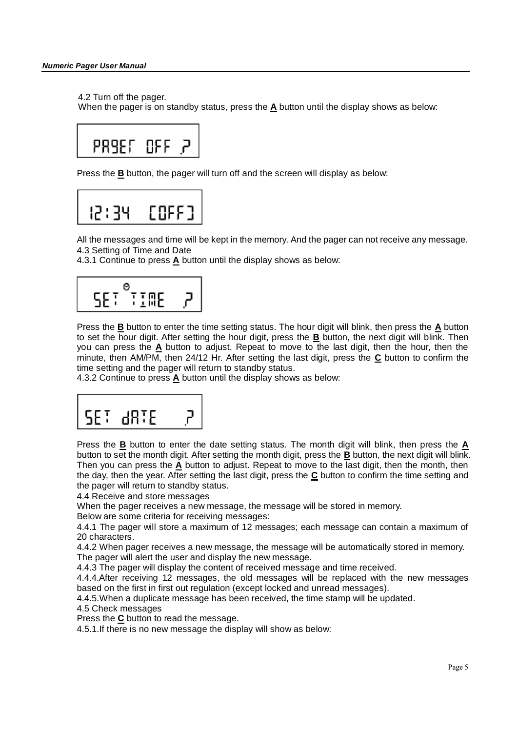#### 4.2 Turn off the pager.

When the pager is on standby status, press the **A** button until the display shows as below:

$$
\begin{array}{c}\n\text{PRSSE} & \text{OFF} & \text{P}\n\end{array}
$$

Press the **B** button, the pager will turn off and the screen will display as below:

$$
\begin{array}{c}\n 12:34 & \text{COFF1} \\
 \end{array}
$$

All the messages and time will be kept in the memory. And the pager can not receive any message. 4.3 Setting of Time and Date

4.3.1 Continue to press **A** button until the display shows as below:

$$
\boxed{\text{SET}^\circ\text{THE}=\text{P}}
$$

Press the **B** button to enter the time setting status. The hour digit will blink, then press the **A** button to set the hour digit. After setting the hour digit, press the **B** button, the next digit will blink. Then you can press the A button to adjust. Repeat to move to the last digit, then the hour, then the minute, then AM/PM, then 24/12 Hr. After setting the last digit, press the **C** button to confirm the time setting and the pager will return to standby status.

4.3.2 Continue to press **A** button until the display shows as below:

$$
\begin{bmatrix}\nSEI & \text{dRIE} & P\n\end{bmatrix}
$$

Press the **B** button to enter the date setting status. The month digit will blink, then press the **A** button to set the month digit. After setting the month digit, press the **B** button, the next digit will blink. Then you can press the **A** button to adjust. Repeat to move to the last digit, then the month, then the day, then the year. After setting the last digit, press the **C** button to confirm the time setting and the pager will return to standby status.

4.4 Receive and store messages

When the pager receives a new message, the message will be stored in memory.

Below are some criteria for receiving messages:

4.4.1 The pager will store a maximum of 12 messages; each message can contain a maximum of 20 characters.

4.4.2 When pager receives a new message, the message will be automatically stored in memory. The pager will alert the user and display the new message.

4.4.3 The pager will display the content of received message and time received.

4.4.4.After receiving 12 messages, the old messages will be replaced with the new messages based on the first in first out regulation (except locked and unread messages).

4.4.5.When a duplicate message has been received, the time stamp will be updated.

4.5 Check messages

Press the **C** button to read the message.

4.5.1.If there is no new message the display will show as below: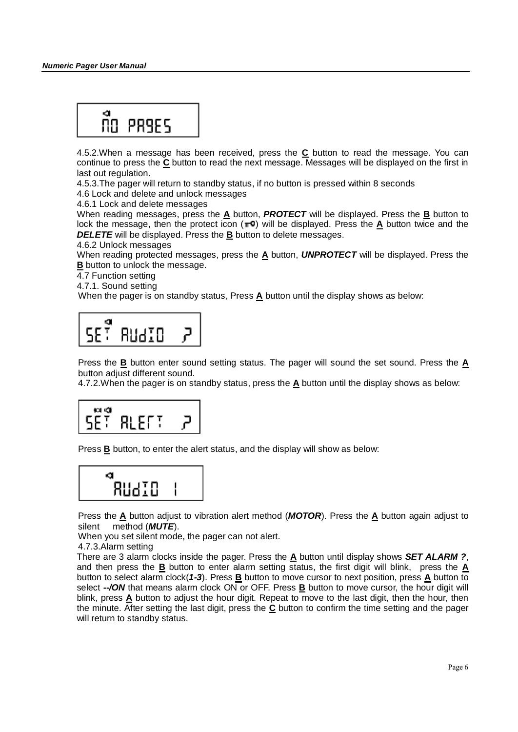

4.5.2.When a message has been received, press the **C** button to read the message. You can continue to press the **C** button to read the next message. Messages will be displayed on the first in last out regulation.

4.5.3.The pager will return to standby status, if no button is pressed within 8 seconds

4.6 Lock and delete and unlock messages

4.6.1 Lock and delete messages

When reading messages, press the **A** button, *PROTECT* will be displayed. Press the **B** button to lock the message, then the protect icon  $( \blacksquare^{\bullet} )$  will be displayed. Press the **A** button twice and the *DELETE* will be displayed. Press the **B** button to delete messages.

4.6.2 Unlock messages

When reading protected messages, press the **A** button, *UNPROTECT* will be displayed. Press the **B** button to unlock the message.

4.7 Function setting

4.7.1. Sound setting

When the pager is on standby status, Press **A** button until the display shows as below:



Press the **B** button enter sound setting status. The pager will sound the set sound. Press the **A** button adjust different sound.

4.7.2.When the pager is on standby status, press the **A** button until the display shows as below:

$$
\begin{array}{|c|c|c|}\n\hline\n\text{SE}^{\text{eq}} & \text{RLET} & \text{P}\n\end{array}
$$

Press **B** button, to enter the alert status, and the display will show as below:

$$
\begin{array}{c}\n\bullet \\
\hline\n\end{array}
$$

Press the **A** button adjust to vibration alert method (*MOTOR*). Press the **A** button again adjust to silent method (*MUTE*).

When you set silent mode, the pager can not alert.

4.7.3.Alarm setting

There are 3 alarm clocks inside the pager. Press the **A** button until display shows *SET ALARM ?*, and then press the **B** button to enter alarm setting status, the first digit will blink, press the **A** button to select alarm clock(*1-3*). Press **B** button to move cursor to next position, press **A** button to select *--/ON* that means alarm clock ON or OFF. Press **B** button to move cursor, the hour digit will blink, press **A** button to adjust the hour digit. Repeat to move to the last digit, then the hour, then the minute. After setting the last digit, press the **C** button to confirm the time setting and the pager will return to standby status.